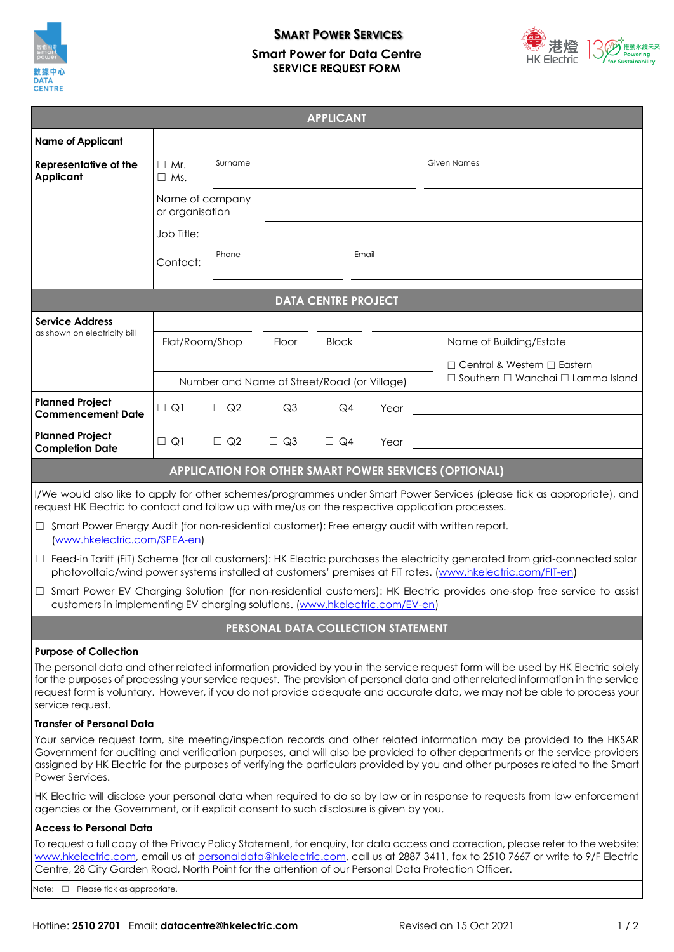

## **SMART POWER SERVICES Smart Power for Data Centre SERVICE REQUEST FORM**



|                                                                                                                                           |                                    |                                             |                    | <b>APPLICANT</b>                   |      |  |                                                                                                                                                                                                                                                                                                                                                                                                |  |
|-------------------------------------------------------------------------------------------------------------------------------------------|------------------------------------|---------------------------------------------|--------------------|------------------------------------|------|--|------------------------------------------------------------------------------------------------------------------------------------------------------------------------------------------------------------------------------------------------------------------------------------------------------------------------------------------------------------------------------------------------|--|
| <b>Name of Applicant</b>                                                                                                                  |                                    |                                             |                    |                                    |      |  |                                                                                                                                                                                                                                                                                                                                                                                                |  |
| Representative of the<br><b>Applicant</b>                                                                                                 | $\Box$ Mr.<br>$\Box$ Ms.           | Surname                                     | <b>Given Names</b> |                                    |      |  |                                                                                                                                                                                                                                                                                                                                                                                                |  |
|                                                                                                                                           | Name of company<br>or organisation |                                             |                    |                                    |      |  |                                                                                                                                                                                                                                                                                                                                                                                                |  |
|                                                                                                                                           | Job Title:                         |                                             |                    |                                    |      |  |                                                                                                                                                                                                                                                                                                                                                                                                |  |
|                                                                                                                                           | Contact:                           | Phone                                       |                    | Email                              |      |  |                                                                                                                                                                                                                                                                                                                                                                                                |  |
|                                                                                                                                           |                                    |                                             |                    | <b>DATA CENTRE PROJECT</b>         |      |  |                                                                                                                                                                                                                                                                                                                                                                                                |  |
| <b>Service Address</b>                                                                                                                    |                                    |                                             |                    |                                    |      |  |                                                                                                                                                                                                                                                                                                                                                                                                |  |
| as shown on electricity bill                                                                                                              | Flat/Room/Shop                     |                                             | Floor              | <b>Block</b>                       |      |  | Name of Building/Estate                                                                                                                                                                                                                                                                                                                                                                        |  |
|                                                                                                                                           |                                    |                                             |                    |                                    |      |  | $\Box$ Central & Western $\Box$ Eastern                                                                                                                                                                                                                                                                                                                                                        |  |
|                                                                                                                                           |                                    | Number and Name of Street/Road (or Village) |                    |                                    |      |  | $\Box$ Southern $\Box$ Wanchai $\Box$ Lamma Island                                                                                                                                                                                                                                                                                                                                             |  |
| <b>Planned Project</b><br><b>Commencement Date</b>                                                                                        | $\Box$ Q1                          | $\square$ Q2                                | $\Box$ Q3          | $\Box$ Q4                          | Year |  |                                                                                                                                                                                                                                                                                                                                                                                                |  |
| <b>Planned Project</b><br><b>Completion Date</b>                                                                                          | $\Box$ Q1                          | $\square$ Q2                                | $\Box$ Q3          | $\Box$ Q4                          | Year |  |                                                                                                                                                                                                                                                                                                                                                                                                |  |
|                                                                                                                                           |                                    |                                             |                    |                                    |      |  | APPLICATION FOR OTHER SMART POWER SERVICES (OPTIONAL)                                                                                                                                                                                                                                                                                                                                          |  |
| request HK Electric to contact and follow up with me/us on the respective application processes.                                          |                                    |                                             |                    |                                    |      |  | I/We would also like to apply for other schemes/programmes under Smart Power Services (please tick as appropriate), and                                                                                                                                                                                                                                                                        |  |
| Smart Power Energy Audit (for non-residential customer): Free energy audit with written report.<br>$\Box$<br>(www.hkelectric.com/SPEA-en) |                                    |                                             |                    |                                    |      |  |                                                                                                                                                                                                                                                                                                                                                                                                |  |
|                                                                                                                                           |                                    |                                             |                    |                                    |      |  | □ Feed-in Tariff (FiT) Scheme (for all customers): HK Electric purchases the electricity generated from grid-connected solar<br>photovoltaic/wind power systems installed at customers' premises at FiT rates. (www.hkelectric.com/FIT-en)                                                                                                                                                     |  |
| customers in implementing EV charging solutions. (www.hkelectric.com/EV-en)                                                               |                                    |                                             |                    |                                    |      |  | □ Smart Power EV Charging Solution (for non-residential customers): HK Electric provides one-stop free service to assist                                                                                                                                                                                                                                                                       |  |
|                                                                                                                                           |                                    |                                             |                    | PERSONAL DATA COLLECTION STATEMENT |      |  |                                                                                                                                                                                                                                                                                                                                                                                                |  |
| <b>Purpose of Collection</b>                                                                                                              |                                    |                                             |                    |                                    |      |  |                                                                                                                                                                                                                                                                                                                                                                                                |  |
| service request.                                                                                                                          |                                    |                                             |                    |                                    |      |  | The personal data and other related information provided by you in the service request form will be used by HK Electric solely<br>for the purposes of processing your service request. The provision of personal data and other related information in the service<br>request form is voluntary. However, if you do not provide adequate and accurate data, we may not be able to process your |  |
| <b>Transfer of Personal Data</b>                                                                                                          |                                    |                                             |                    |                                    |      |  |                                                                                                                                                                                                                                                                                                                                                                                                |  |
| Power Services.                                                                                                                           |                                    |                                             |                    |                                    |      |  | Your service request form, site meeting/inspection records and other related information may be provided to the HKSAR<br>Government for auditing and verification purposes, and will also be provided to other departments or the service providers<br>assigned by HK Electric for the purposes of verifying the particulars provided by you and other purposes related to the Smart           |  |

HK Electric will disclose your personal data when required to do so by law or in response to requests from law enforcement agencies or the Government, or if explicit consent to such disclosure is given by you.

## **Access to Personal Data**

To request a full copy of the Privacy Policy Statement, for enquiry, for data access and correction, please refer to the website: [www.hkelectric.com,](http://www.hkelectric.com/) email us at [personaldata@hkelectric.com,](mailto:personaldata@hkelectric.com) call us at 2887 3411, fax to 2510 7667 or write to 9/F Electric Centre, 28 City Garden Road, North Point for the attention of our Personal Data Protection Officer.

Note: □ Please tick as appropriate.